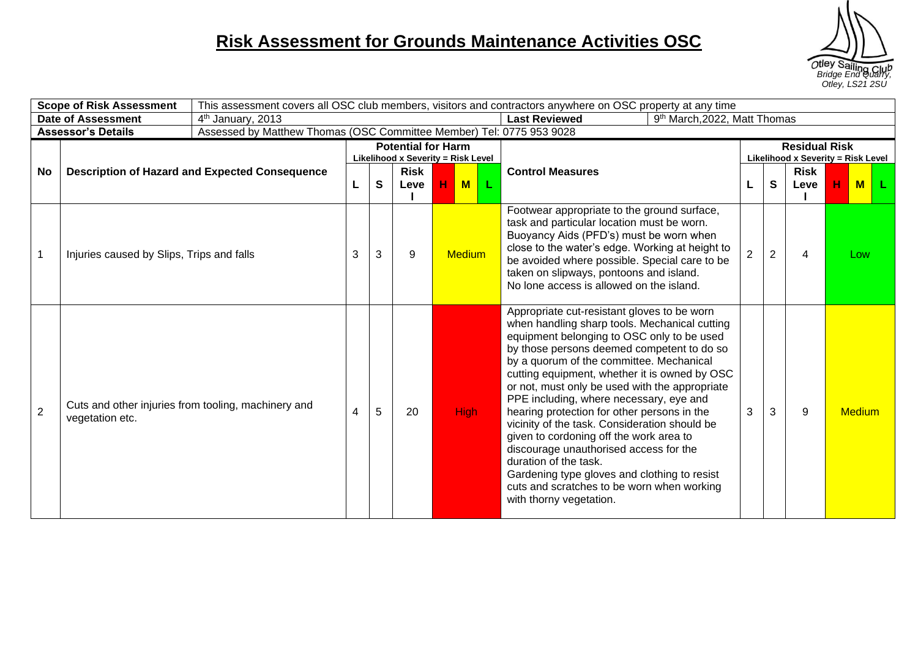## **Risk Assessment for Grounds Maintenance Activities OSC**



| This assessment covers all OSC club members, visitors and contractors anywhere on OSC property at any time<br><b>Scope of Risk Assessment</b> |                                                       |                                                     |                                                                      |              |                     |               |  |                                                                                                                                                                                                                                                                                                                                                                                                                                                                                                                                                                                                                                                                                                                           |                                                            |                |                     |               |     |  |
|-----------------------------------------------------------------------------------------------------------------------------------------------|-------------------------------------------------------|-----------------------------------------------------|----------------------------------------------------------------------|--------------|---------------------|---------------|--|---------------------------------------------------------------------------------------------------------------------------------------------------------------------------------------------------------------------------------------------------------------------------------------------------------------------------------------------------------------------------------------------------------------------------------------------------------------------------------------------------------------------------------------------------------------------------------------------------------------------------------------------------------------------------------------------------------------------------|------------------------------------------------------------|----------------|---------------------|---------------|-----|--|
| <b>Date of Assessment</b><br>4 <sup>th</sup> January, 2013                                                                                    |                                                       |                                                     | <b>Last Reviewed</b><br>9th March, 2022, Matt Thomas                 |              |                     |               |  |                                                                                                                                                                                                                                                                                                                                                                                                                                                                                                                                                                                                                                                                                                                           |                                                            |                |                     |               |     |  |
|                                                                                                                                               | <b>Assessor's Details</b>                             |                                                     | Assessed by Matthew Thomas (OSC Committee Member) Tel: 0775 953 9028 |              |                     |               |  |                                                                                                                                                                                                                                                                                                                                                                                                                                                                                                                                                                                                                                                                                                                           |                                                            |                |                     |               |     |  |
|                                                                                                                                               | <b>Description of Hazard and Expected Consequence</b> |                                                     | <b>Potential for Harm</b><br>Likelihood x Severity = Risk Level      |              |                     |               |  |                                                                                                                                                                                                                                                                                                                                                                                                                                                                                                                                                                                                                                                                                                                           | <b>Residual Risk</b><br>Likelihood x Severity = Risk Level |                |                     |               |     |  |
| No                                                                                                                                            |                                                       |                                                     | L                                                                    | $\mathbf{s}$ | <b>Risk</b><br>Leve | н<br>$M$      |  | <b>Control Measures</b>                                                                                                                                                                                                                                                                                                                                                                                                                                                                                                                                                                                                                                                                                                   | L                                                          | $\mathbf{s}$   | <b>Risk</b><br>Leve | н             | M L |  |
| 1                                                                                                                                             | Injuries caused by Slips, Trips and falls             |                                                     |                                                                      | 3            | 9                   | <b>Medium</b> |  | Footwear appropriate to the ground surface,<br>task and particular location must be worn.<br>Buoyancy Aids (PFD's) must be worn when<br>close to the water's edge. Working at height to<br>be avoided where possible. Special care to be<br>taken on slipways, pontoons and island.<br>No lone access is allowed on the island.                                                                                                                                                                                                                                                                                                                                                                                           | $\overline{2}$                                             | $\overline{2}$ | 4                   | Low           |     |  |
| $\overline{2}$                                                                                                                                | vegetation etc.                                       | Cuts and other injuries from tooling, machinery and |                                                                      | 5            | 20                  | High          |  | Appropriate cut-resistant gloves to be worn<br>when handling sharp tools. Mechanical cutting<br>equipment belonging to OSC only to be used<br>by those persons deemed competent to do so<br>by a quorum of the committee. Mechanical<br>cutting equipment, whether it is owned by OSC<br>or not, must only be used with the appropriate<br>PPE including, where necessary, eye and<br>hearing protection for other persons in the<br>vicinity of the task. Consideration should be<br>given to cordoning off the work area to<br>discourage unauthorised access for the<br>duration of the task.<br>Gardening type gloves and clothing to resist<br>cuts and scratches to be worn when working<br>with thorny vegetation. | 3                                                          | 3              | 9                   | <b>Medium</b> |     |  |